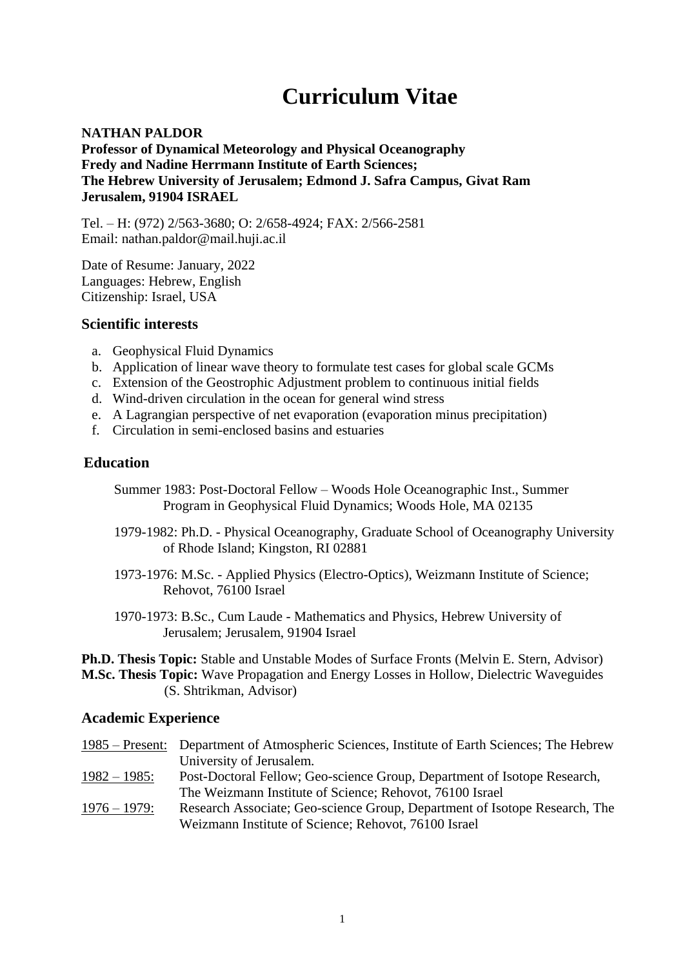# **Curriculum Vitae**

### **NATHAN PALDOR Professor of Dynamical Meteorology and Physical Oceanography Fredy and Nadine Herrmann Institute of Earth Sciences; The Hebrew University of Jerusalem; Edmond J. Safra Campus, Givat Ram Jerusalem, 91904 ISRAEL**

Tel. – H: (972) 2/563-3680; O: 2/658-4924; FAX: 2/566-2581 Email: nathan.paldor@mail.huji.ac.il

Date of Resume: January, 2022 Languages: Hebrew, English Citizenship: Israel, USA

#### **Scientific interests**

- a. Geophysical Fluid Dynamics
- b. Application of linear wave theory to formulate test cases for global scale GCMs
- c. Extension of the Geostrophic Adjustment problem to continuous initial fields
- d. Wind-driven circulation in the ocean for general wind stress
- e. A Lagrangian perspective of net evaporation (evaporation minus precipitation)
- f. Circulation in semi-enclosed basins and estuaries

## **Education**

- Summer 1983: Post-Doctoral Fellow Woods Hole Oceanographic Inst., Summer Program in Geophysical Fluid Dynamics; Woods Hole, MA 02135
- 1979-1982: Ph.D. Physical Oceanography, Graduate School of Oceanography University of Rhode Island; Kingston, RI 02881
- 1973-1976: M.Sc. Applied Physics (Electro-Optics), Weizmann Institute of Science; Rehovot, 76100 Israel
- 1970-1973: B.Sc., Cum Laude Mathematics and Physics, Hebrew University of Jerusalem; Jerusalem, 91904 Israel

**Ph.D. Thesis Topic:** Stable and Unstable Modes of Surface Fronts (Melvin E. Stern, Advisor) **M.Sc. Thesis Topic:** Wave Propagation and Energy Losses in Hollow, Dielectric Waveguides (S. Shtrikman, Advisor)

## **Academic Experience**

1985 – Present: Department of Atmospheric Sciences, Institute of Earth Sciences; The Hebrew University of Jerusalem. 1982 – 1985: Post-Doctoral Fellow; Geo-science Group, Department of Isotope Research, The Weizmann Institute of Science; Rehovot, 76100 Israel 1976 – 1979: Research Associate; Geo-science Group, Department of Isotope Research, The Weizmann Institute of Science; Rehovot, 76100 Israel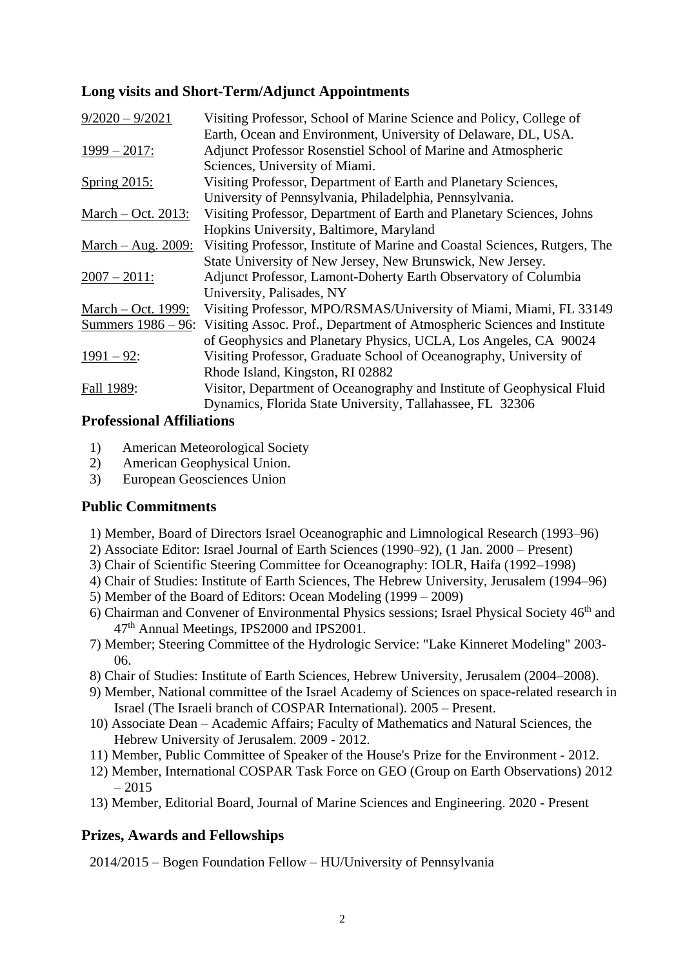# **Long visits and Short-Term/Adjunct Appointments**

| $9/2020 - 9/2021$    | Visiting Professor, School of Marine Science and Policy, College of                                                             |
|----------------------|---------------------------------------------------------------------------------------------------------------------------------|
| $1999 - 2017$ :      | Earth, Ocean and Environment, University of Delaware, DL, USA.<br>Adjunct Professor Rosenstiel School of Marine and Atmospheric |
|                      | Sciences, University of Miami.                                                                                                  |
| Spring 2015:         | Visiting Professor, Department of Earth and Planetary Sciences,                                                                 |
|                      | University of Pennsylvania, Philadelphia, Pennsylvania.                                                                         |
| March $-$ Oct. 2013: | Visiting Professor, Department of Earth and Planetary Sciences, Johns                                                           |
|                      | Hopkins University, Baltimore, Maryland                                                                                         |
| March $-$ Aug. 2009: | Visiting Professor, Institute of Marine and Coastal Sciences, Rutgers, The                                                      |
|                      | State University of New Jersey, New Brunswick, New Jersey.                                                                      |
| $2007 - 2011$ :      | Adjunct Professor, Lamont-Doherty Earth Observatory of Columbia                                                                 |
|                      | University, Palisades, NY                                                                                                       |
| March – Oct. 1999:   | Visiting Professor, MPO/RSMAS/University of Miami, Miami, FL 33149                                                              |
|                      | Summers 1986 – 96: Visiting Assoc. Prof., Department of Atmospheric Sciences and Institute                                      |
|                      | of Geophysics and Planetary Physics, UCLA, Los Angeles, CA 90024                                                                |
| $1991 - 92$ :        | Visiting Professor, Graduate School of Oceanography, University of                                                              |
|                      | Rhode Island, Kingston, RI 02882                                                                                                |
| Fall 1989:           | Visitor, Department of Oceanography and Institute of Geophysical Fluid                                                          |
|                      | Dynamics, Florida State University, Tallahassee, FL 32306                                                                       |

## **Professional Affiliations**

- 1) American Meteorological Society
- 2) American Geophysical Union.
- 3) European Geosciences Union

# **Public Commitments**

- 1) Member, Board of Directors Israel Oceanographic and Limnological Research (1993–96)
- 2) Associate Editor: Israel Journal of Earth Sciences (1990–92), (1 Jan. 2000 Present)
- 3) Chair of Scientific Steering Committee for Oceanography: IOLR, Haifa (1992–1998)
- 4) Chair of Studies: Institute of Earth Sciences, The Hebrew University, Jerusalem (1994–96)
- 5) Member of the Board of Editors: Ocean Modeling (1999 2009)
- 6) Chairman and Convener of Environmental Physics sessions; Israel Physical Society  $46<sup>th</sup>$  and 47th Annual Meetings, IPS2000 and IPS2001.
- 7) Member; Steering Committee of the Hydrologic Service: "Lake Kinneret Modeling" 2003- 06.
- 8) Chair of Studies: Institute of Earth Sciences, Hebrew University, Jerusalem (2004–2008).
- 9) Member, National committee of the Israel Academy of Sciences on space-related research in Israel (The Israeli branch of COSPAR International). 2005 – Present.
- 10) Associate Dean Academic Affairs; Faculty of Mathematics and Natural Sciences, the Hebrew University of Jerusalem. 2009 - 2012.
- 11) Member, Public Committee of Speaker of the House's Prize for the Environment 2012.
- 12) Member, International COSPAR Task Force on GEO (Group on Earth Observations) 2012 – 2015
- 13) Member, Editorial Board, Journal of Marine Sciences and Engineering. 2020 Present

# **Prizes, Awards and Fellowships**

2014/2015 – Bogen Foundation Fellow – HU/University of Pennsylvania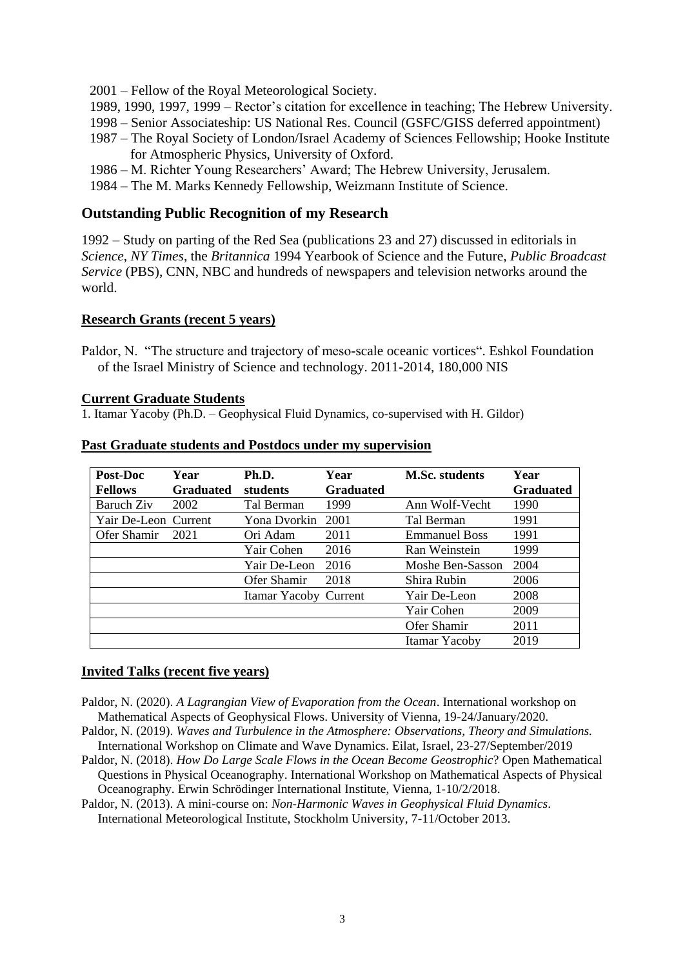2001 – Fellow of the Royal Meteorological Society.

- 1989, 1990, 1997, 1999 Rector's citation for excellence in teaching; The Hebrew University.
- 1998 Senior Associateship: US National Res. Council (GSFC/GISS deferred appointment)
- 1987 The Royal Society of London/Israel Academy of Sciences Fellowship; Hooke Institute for Atmospheric Physics, University of Oxford.
- 1986 M. Richter Young Researchers' Award; The Hebrew University, Jerusalem.
- 1984 The M. Marks Kennedy Fellowship, Weizmann Institute of Science.

#### **Outstanding Public Recognition of my Research**

1992 – Study on parting of the Red Sea (publications 23 and 27) discussed in editorials in *Science*, *NY Times*, the *Britannica* 1994 Yearbook of Science and the Future, *Public Broadcast Service* (PBS), CNN, NBC and hundreds of newspapers and television networks around the world.

#### **Research Grants (recent 5 years)**

Paldor, N. "The structure and trajectory of meso-scale oceanic vortices". Eshkol Foundation of the Israel Ministry of Science and technology. 2011-2014, 180,000 NIS

#### **Current Graduate Students**

1. Itamar Yacoby (Ph.D. – Geophysical Fluid Dynamics, co-supervised with H. Gildor)

| Post-Doc             | Year             | Ph.D.                 | Year             | <b>M.Sc. students</b> | Year             |
|----------------------|------------------|-----------------------|------------------|-----------------------|------------------|
| <b>Fellows</b>       | <b>Graduated</b> | students              | <b>Graduated</b> |                       | <b>Graduated</b> |
| Baruch Ziv           | 2002             | Tal Berman            | 1999             | Ann Wolf-Vecht        | 1990             |
| Yair De-Leon Current |                  | Yona Dvorkin          | 2001             | Tal Berman            | 1991             |
| Ofer Shamir          | 2021             | Ori Adam              | 2011             | <b>Emmanuel Boss</b>  | 1991             |
|                      |                  | Yair Cohen            | 2016             | Ran Weinstein         | 1999             |
|                      |                  | Yair De-Leon          | 2016             | Moshe Ben-Sasson      | 2004             |
|                      |                  | Ofer Shamir           | 2018             | Shira Rubin           | 2006             |
|                      |                  | Itamar Yacoby Current |                  | Yair De-Leon          | 2008             |
|                      |                  |                       |                  | Yair Cohen            | 2009             |
|                      |                  |                       |                  | Ofer Shamir           | 2011             |
|                      |                  |                       |                  | Itamar Yacoby         | 2019             |

#### **Past Graduate students and Postdocs under my supervision**

#### **Invited Talks (recent five years)**

- Paldor, N. (2020). *A Lagrangian View of Evaporation from the Ocean*. International workshop on Mathematical Aspects of Geophysical Flows. University of Vienna, 19-24/January/2020.
- Paldor, N. (2019). *Waves and Turbulence in the Atmosphere: Observations, Theory and Simulations.* International Workshop on Climate and Wave Dynamics. Eilat, Israel, 23-27/September/2019
- Paldor, N. (2018). *How Do Large Scale Flows in the Ocean Become Geostrophic*? Open Mathematical Questions in Physical Oceanography. International Workshop on Mathematical Aspects of Physical Oceanography. Erwin Schrödinger International Institute, Vienna, 1-10/2/2018.
- Paldor, N. (2013). A mini-course on: *Non-Harmonic Waves in Geophysical Fluid Dynamics*. International Meteorological Institute, Stockholm University, 7-11/October 2013.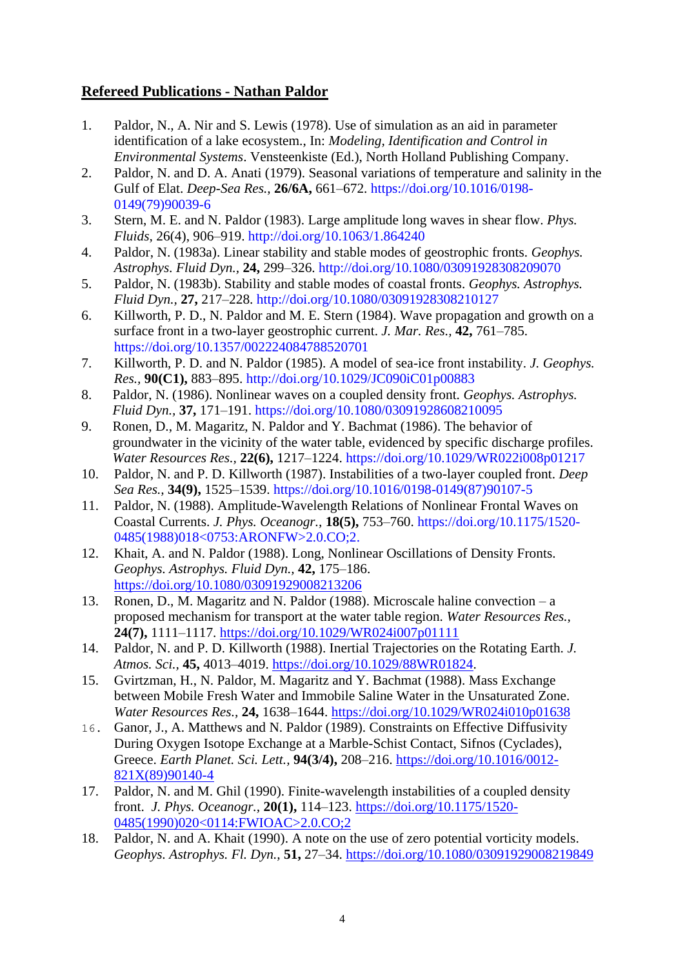# **Refereed Publications - Nathan Paldor**

- 1. Paldor, N., A. Nir and S. Lewis (1978). Use of simulation as an aid in parameter identification of a lake ecosystem., In: *Modeling, Identification and Control in Environmental Systems*. Vensteenkiste (Ed.), North Holland Publishing Company.
- 2. Paldor, N. and D. A. Anati (1979). Seasonal variations of temperature and salinity in the Gulf of Elat. *Deep-Sea Res.,* **26/6A,** 661–672. [https://doi.org/10.1016/0198-](https://doi.org/10.1016/0198-0149(79)90039-6) [0149\(79\)90039-6](https://doi.org/10.1016/0198-0149(79)90039-6)
- 3. Stern, M. E. and N. Paldor (1983). Large amplitude long waves in shear flow. *Phys. Fluids,* 26(4), 906–919. http://doi.org/10.1063/1.864240
- 4. Paldor, N. (1983a). Linear stability and stable modes of geostrophic fronts*. Geophys. Astrophys. Fluid Dyn.,* **24,** 299–326. http://doi.org/10.1080/03091928308209070
- 5. Paldor, N. (1983b). Stability and stable modes of coastal fronts. *Geophys. Astrophys. Fluid Dyn.,* **27,** 217–228. http://doi.org/10.1080/03091928308210127
- 6. Killworth, P. D., N. Paldor and M. E. Stern (1984). Wave propagation and growth on a surface front in a two-layer geostrophic current. *J. Mar. Res.,* **42,** 761–785. <https://doi.org/10.1357/002224084788520701>
- 7. Killworth, P. D. and N. Paldor (1985). A model of sea-ice front instability. *J. Geophys. Res.,* **90(C1),** 883–895. http://doi.org/10.1029/JC090iC01p00883
- 8. Paldor, N. (1986). Nonlinear waves on a coupled density front. *Geophys. Astrophys. Fluid Dyn.,* **37,** 171–191. https://doi.org/10.1080/03091928608210095
- 9. Ronen, D., M. Magaritz, N. Paldor and Y. Bachmat (1986). The behavior of groundwater in the vicinity of the water table, evidenced by specific discharge profiles. *Water Resources Res.,* **22(6),** 1217–1224. https://doi.org/10.1029/WR022i008p01217
- 10. Paldor, N. and P. D. Killworth (1987). Instabilities of a two-layer coupled front. *Deep Sea Res.,* **34(9),** 1525–1539. [https://doi.org/10.1016/0198-0149\(87\)90107-5](https://doi.org/10.1016/0198-0149(87)90107-5)
- 11. Paldor, N. (1988). Amplitude-Wavelength Relations of Nonlinear Frontal Waves on Coastal Currents. *J. Phys. Oceanogr.,* **18(5),** 753–760. [https://doi.org/10.1175/1520-](https://doi.org/10.1175/1520-0485(1988)018%3C0753:ARONFW%3E2.0.CO;2) [0485\(1988\)018<0753:ARONFW>2.0.CO;2.](https://doi.org/10.1175/1520-0485(1988)018%3C0753:ARONFW%3E2.0.CO;2)
- 12. Khait, A. and N. Paldor (1988). Long, Nonlinear Oscillations of Density Fronts. *Geophys. Astrophys. Fluid Dyn.,* **42,** 175–186. <https://doi.org/10.1080/03091929008213206>
- 13. Ronen, D., M. Magaritz and N. Paldor (1988). Microscale haline convection a proposed mechanism for transport at the water table region. *Water Resources Res.,* **24(7),** 1111–1117.<https://doi.org/10.1029/WR024i007p01111>
- 14. Paldor, N. and P. D. Killworth (1988). Inertial Trajectories on the Rotating Earth. *J. Atmos. Sci.,* **45,** 4013–4019. [https://doi.org/10.1029/88WR01824.](https://doi.org/10.1029/88WR01824)
- 15. Gvirtzman, H., N. Paldor, M. Magaritz and Y. Bachmat (1988). Mass Exchange between Mobile Fresh Water and Immobile Saline Water in the Unsaturated Zone. *Water Resources Res.,* **24,** 1638–1644.<https://doi.org/10.1029/WR024i010p01638>
- 16. Ganor, J., A. Matthews and N. Paldor (1989). Constraints on Effective Diffusivity During Oxygen Isotope Exchange at a Marble-Schist Contact, Sifnos (Cyclades), Greece. *Earth Planet. Sci. Lett.,* **94(3/4),** 208–216. [https://doi.org/10.1016/0012-](https://doi.org/10.1016/0012-821X(89)90140-4) [821X\(89\)90140-4](https://doi.org/10.1016/0012-821X(89)90140-4)
- 17. Paldor, N. and M. Ghil (1990). Finite-wavelength instabilities of a coupled density front. *J. Phys. Oceanogr.,* **20(1),** 114–123. [https://doi.org/10.1175/1520-](https://doi.org/10.1175/1520-0485(1990)020%3C0114:FWIOAC%3E2.0.CO;2) [0485\(1990\)020<0114:FWIOAC>2.0.CO;2](https://doi.org/10.1175/1520-0485(1990)020%3C0114:FWIOAC%3E2.0.CO;2)
- 18. Paldor, N. and A. Khait (1990). A note on the use of zero potential vorticity models. *Geophys. Astrophys. Fl. Dyn.,* **51,** 27–34.<https://doi.org/10.1080/03091929008219849>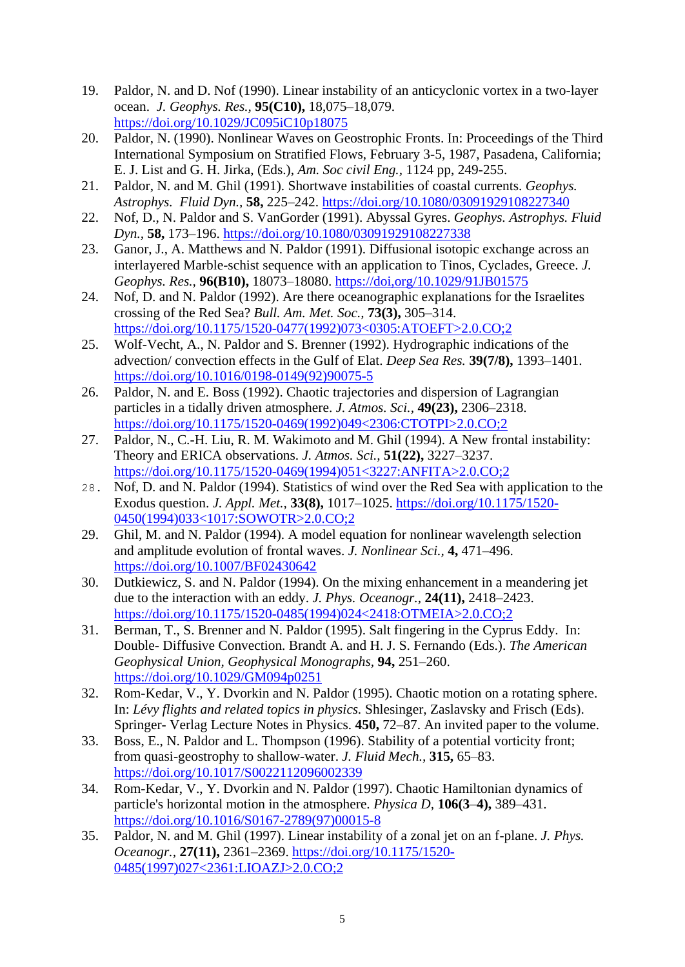- 19. Paldor, N. and D. Nof (1990). Linear instability of an anticyclonic vortex in a two-layer ocean. *J. Geophys. Res.,* **95(C10),** 18,075–18,079. <https://doi.org/10.1029/JC095iC10p18075>
- 20. Paldor, N. (1990). Nonlinear Waves on Geostrophic Fronts. In: Proceedings of the Third International Symposium on Stratified Flows, February 3-5, 1987, Pasadena, California; E. J. List and G. H. Jirka, (Eds.), *Am. Soc civil Eng.,* 1124 pp, 249-255.
- 21. Paldor, N. and M. Ghil (1991). Shortwave instabilities of coastal currents. *Geophys. Astrophys. Fluid Dyn.,* **58,** 225–242.<https://doi.org/10.1080/03091929108227340>
- 22. Nof, D., N. Paldor and S. VanGorder (1991). Abyssal Gyres. *Geophys. Astrophys. Fluid Dyn.,* **58,** 173–196.<https://doi.org/10.1080/03091929108227338>
- 23. Ganor, J., A. Matthews and N. Paldor (1991). Diffusional isotopic exchange across an interlayered Marble-schist sequence with an application to Tinos, Cyclades, Greece. *J. Geophys. Res.,* **96(B10),** 18073–18080. <https://doi,org/10.1029/91JB01575>
- 24. Nof, D. and N. Paldor (1992). Are there oceanographic explanations for the Israelites crossing of the Red Sea? *Bull. Am. Met. Soc.,* **73(3),** 305–314. [https://doi.org/10.1175/1520-0477\(1992\)073<0305:ATOEFT>2.0.CO;2](https://doi.org/10.1175/1520-0477(1992)073%3C0305:ATOEFT%3E2.0.CO;2)
- 25. Wolf-Vecht, A., N. Paldor and S. Brenner (1992). Hydrographic indications of the advection/ convection effects in the Gulf of Elat. *Deep Sea Res.* **39(7/8),** 1393–1401. [https://doi.org/10.1016/0198-0149\(92\)90075-5](https://doi.org/10.1016/0198-0149(92)90075-5)
- 26. Paldor, N. and E. Boss (1992). Chaotic trajectories and dispersion of Lagrangian particles in a tidally driven atmosphere. *J. Atmos. Sci.,* **49(23),** 2306–2318. [https://doi.org/10.1175/1520-0469\(1992\)049<2306:CTOTPI>2.0.CO;2](https://doi.org/10.1175/1520-0469(1992)049%3C2306:CTOTPI%3E2.0.CO;2)
- 27. Paldor, N., C.-H. Liu, R. M. Wakimoto and M. Ghil (1994). A New frontal instability: Theory and ERICA observations. *J. Atmos. Sci.,* **51(22),** 3227–3237. [https://doi.org/10.1175/1520-0469\(1994\)051<3227:ANFITA>2.0.CO;2](https://doi.org/10.1175/1520-0469(1994)051%3C3227:ANFITA%3E2.0.CO;2)
- 28. Nof, D. and N. Paldor (1994). Statistics of wind over the Red Sea with application to the Exodus question. *J. Appl. Met.,* **33(8),** 1017–1025. [https://doi.org/10.1175/1520-](https://doi.org/10.1175/1520-0450(1994)033%3C1017:SOWOTR%3E2.0.CO;2) [0450\(1994\)033<1017:SOWOTR>2.0.CO;2](https://doi.org/10.1175/1520-0450(1994)033%3C1017:SOWOTR%3E2.0.CO;2)
- 29. Ghil, M. and N. Paldor (1994). A model equation for nonlinear wavelength selection and amplitude evolution of frontal waves. *J. Nonlinear Sci.,* **4,** 471–496. <https://doi.org/10.1007/BF02430642>
- 30. Dutkiewicz, S. and N. Paldor (1994). On the mixing enhancement in a meandering jet due to the interaction with an eddy. *J. Phys. Oceanogr.,* **24(11),** 2418–2423. [https://doi.org/10.1175/1520-0485\(1994\)024<2418:OTMEIA>2.0.CO;2](https://doi.org/10.1175/1520-0485(1994)024%3C2418:OTMEIA%3E2.0.CO;2)
- 31. Berman, T., S. Brenner and N. Paldor (1995). Salt fingering in the Cyprus Eddy. In: Double- Diffusive Convection. Brandt A. and H. J. S. Fernando (Eds.). *The American Geophysical Union, Geophysical Monographs,* **94,** 251–260. https://doi.org/10[.1029/GM094p0251](https://ui.adsabs.harvard.edu/link_gateway/1995GMS....94..251B/doi:10.1029/GM094p0251)
- 32. Rom-Kedar, V., Y. Dvorkin and N. Paldor (1995). Chaotic motion on a rotating sphere. In: *Lévy flights and related topics in physics.* Shlesinger, Zaslavsky and Frisch (Eds). Springer- Verlag Lecture Notes in Physics. **450,** 72–87. An invited paper to the volume.
- 33. Boss, E., N. Paldor and L. Thompson (1996). Stability of a potential vorticity front; from quasi-geostrophy to shallow-water. *J. Fluid Mech.,* **315,** 65–83. <https://doi.org/10.1017/S0022112096002339>
- 34. Rom-Kedar, V., Y. Dvorkin and N. Paldor (1997). Chaotic Hamiltonian dynamics of particle's horizontal motion in the atmosphere. *Physica D,* **106(3**–**4),** 389–431. [https://doi.org/10.1016/S0167-2789\(97\)00015-8](https://doi.org/10.1016/S0167-2789(97)00015-8)
- 35. Paldor, N. and M. Ghil (1997). Linear instability of a zonal jet on an f-plane. *J. Phys. Oceanogr.,* **27(11),** 2361–2369. [https://doi.org/10.1175/1520-](https://doi.org/10.1175/1520-0485(1997)027%3C2361:LIOAZJ%3E2.0.CO;2) [0485\(1997\)027<2361:LIOAZJ>2.0.CO;2](https://doi.org/10.1175/1520-0485(1997)027%3C2361:LIOAZJ%3E2.0.CO;2)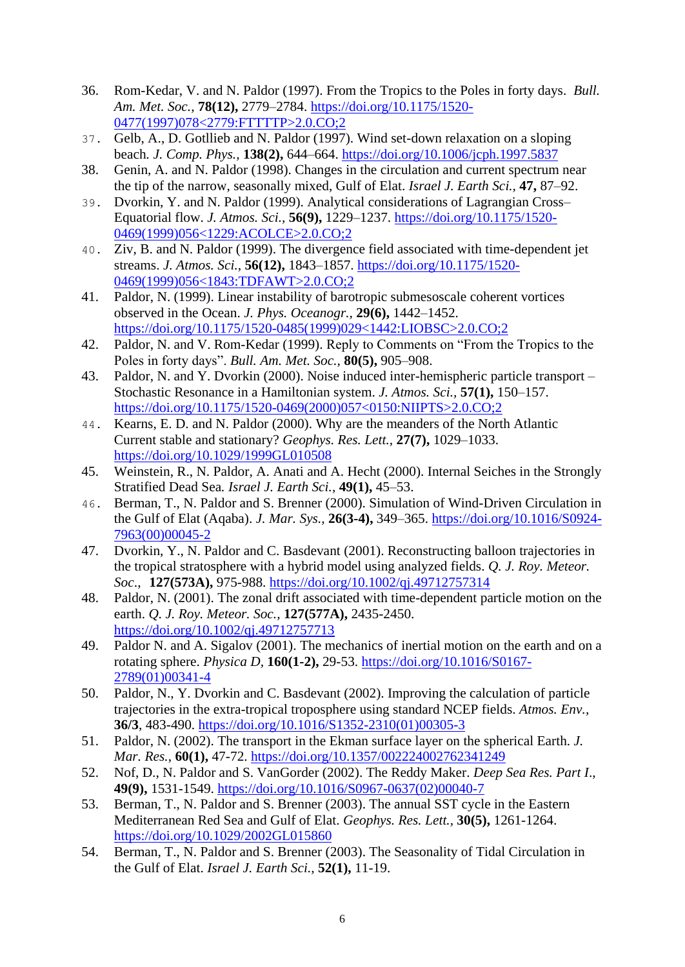- 36. Rom-Kedar, V. and N. Paldor (1997). From the Tropics to the Poles in forty days. *Bull. Am. Met. Soc.,* **78(12),** 2779–2784. [https://doi.org/10.1175/1520-](https://doi.org/10.1175/1520-0477(1997)078%3C2779:FTTTTP%3E2.0.CO;2) [0477\(1997\)078<2779:FTTTTP>2.0.CO;2](https://doi.org/10.1175/1520-0477(1997)078%3C2779:FTTTTP%3E2.0.CO;2)
- 37. Gelb, A., D. Gotllieb and N. Paldor (1997). Wind set-down relaxation on a sloping beach*. J. Comp. Phys.,* **138(2),** 644–664.<https://doi.org/10.1006/jcph.1997.5837>
- 38. Genin, A. and N. Paldor (1998). Changes in the circulation and current spectrum near the tip of the narrow, seasonally mixed, Gulf of Elat. *Israel J. Earth Sci.,* **47,** 87–92.
- 39. Dvorkin, Y. and N. Paldor (1999). Analytical considerations of Lagrangian Cross– Equatorial flow. *J. Atmos. Sci.,* **56(9),** 1229–1237. [https://doi.org/10.1175/1520-](https://doi.org/10.1175/1520-0469(1999)056%3C1229:ACOLCE%3E2.0.CO;2) [0469\(1999\)056<1229:ACOLCE>2.0.CO;2](https://doi.org/10.1175/1520-0469(1999)056%3C1229:ACOLCE%3E2.0.CO;2)
- 40. Ziv, B. and N. Paldor (1999). The divergence field associated with time-dependent jet streams. *J. Atmos. Sci.,* **56(12),** 1843–1857. [https://doi.org/10.1175/1520-](https://doi.org/10.1175/1520-0469(1999)056%3C1843:TDFAWT%3E2.0.CO;2) [0469\(1999\)056<1843:TDFAWT>2.0.CO;2](https://doi.org/10.1175/1520-0469(1999)056%3C1843:TDFAWT%3E2.0.CO;2)
- 41. Paldor, N. (1999). Linear instability of barotropic submesoscale coherent vortices observed in the Ocean. *J. Phys. Oceanogr.,* **29(6),** 1442–1452. [https://doi.org/10.1175/1520-0485\(1999\)029<1442:LIOBSC>2.0.CO;2](https://doi.org/10.1175/1520-0485(1999)029%3C1442:LIOBSC%3E2.0.CO;2)
- 42. Paldor, N. and V. Rom-Kedar (1999). Reply to Comments on "From the Tropics to the Poles in forty days". *Bull. Am. Met. Soc.,* **80(5),** 905–908.
- 43. Paldor, N. and Y. Dvorkin (2000). Noise induced inter-hemispheric particle transport Stochastic Resonance in a Hamiltonian system. *J. Atmos. Sci.,* **57(1),** 150–157. [https://doi.org/10.1175/1520-0469\(2000\)057<0150:NIIPTS>2.0.CO;2](https://doi.org/10.1175/1520-0469(2000)057%3C0150:NIIPTS%3E2.0.CO;2)
- 44. Kearns, E. D. and N. Paldor (2000). Why are the meanders of the North Atlantic Current stable and stationary? *Geophys. Res. Lett.,* **27(7),** 1029–1033. <https://doi.org/10.1029/1999GL010508>
- 45. Weinstein, R., N. Paldor, A. Anati and A. Hecht (2000). Internal Seiches in the Strongly Stratified Dead Sea*. Israel J. Earth Sci.,* **49(1),** 45–53.
- 46. Berman, T., N. Paldor and S. Brenner (2000). Simulation of Wind-Driven Circulation in the Gulf of Elat (Aqaba). *J. Mar. Sys.,* **26(3-4),** 349–365. [https://doi.org/10.1016/S0924-](https://doi.org/10.1016/S0924-7963(00)00045-2) [7963\(00\)00045-2](https://doi.org/10.1016/S0924-7963(00)00045-2)
- 47. Dvorkin, Y., N. Paldor and C. Basdevant (2001). Reconstructing balloon trajectories in the tropical stratosphere with a hybrid model using analyzed fields. *Q. J. Roy. Meteor. Soc*., **127(573A),** 975-988.<https://doi.org/10.1002/qj.49712757314>
- 48. Paldor, N. (2001). The zonal drift associated with time-dependent particle motion on the earth. *Q. J. Roy. Meteor. Soc.,* **127(577A),** 2435-2450. <https://doi.org/10.1002/qj.49712757713>
- 49. Paldor N. and A. Sigalov (2001). The mechanics of inertial motion on the earth and on a rotating sphere. *Physica D,* **160(1-2),** 29-53. https://doi.org[/10.1016/S0167-](https://doi.org/10.1016/S0167-2789(01)00341-4) [2789\(01\)00341-4](https://doi.org/10.1016/S0167-2789(01)00341-4)
- 50. Paldor, N., Y. Dvorkin and C. Basdevant (2002). Improving the calculation of particle trajectories in the extra-tropical troposphere using standard NCEP fields. *Atmos. Env.,* **36/3**, 483-490. https://doi.org/[10.1016/S1352-2310\(01\)00305-3](https://doi.org/10.1016/S1352-2310(01)00305-3)
- 51. Paldor, N. (2002). The transport in the Ekman surface layer on the spherical Earth. *J. Mar. Res.*, **60(1),** 47-72. https://doi.org[/10.1357/002224002762341249](https://doi.org/10.1357/002224002762341249)
- 52. Nof, D., N. Paldor and S. VanGorder (2002). The Reddy Maker. *Deep Sea Res. Part I*., **49(9),** 1531-1549. [https://doi.org/10.1016/S0967-0637\(02\)00040-7](https://doi.org/10.1016/S0967-0637(02)00040-7)
- 53. Berman, T., N. Paldor and S. Brenner (2003). The annual SST cycle in the Eastern Mediterranean Red Sea and Gulf of Elat. *Geophys. Res. Lett.,* **30(5),** 1261-1264. https://doi.org[/10.1029/2002GL015860](https://doi.org/10.1029/2002GL015860)
- 54. Berman, T., N. Paldor and S. Brenner (2003). The Seasonality of Tidal Circulation in the Gulf of Elat. *Israel J. Earth Sci.,* **52(1),** 11-19.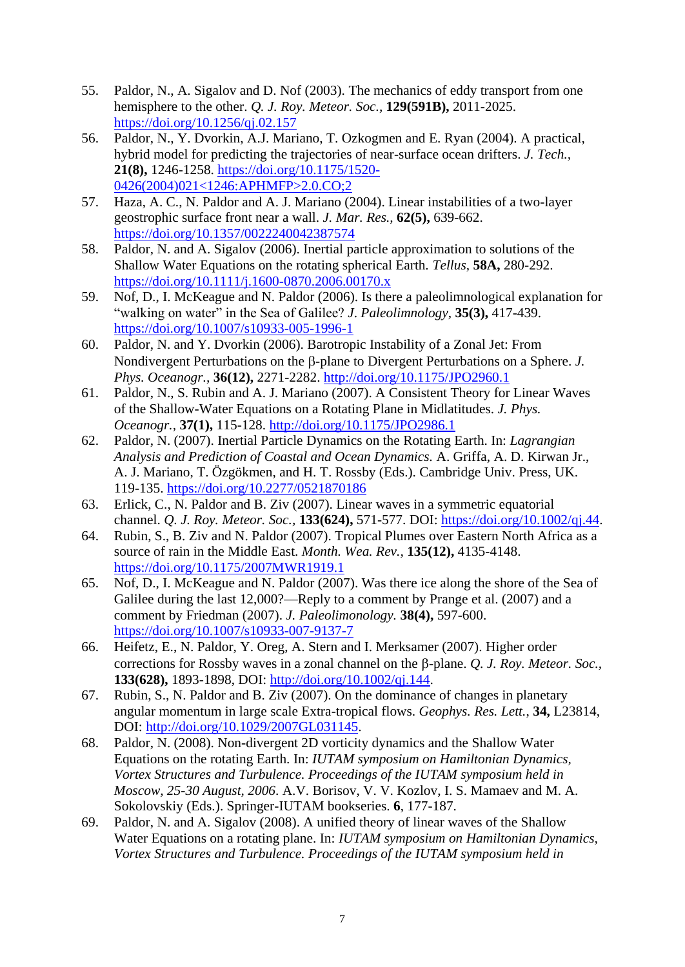- 55. Paldor, N., A. Sigalov and D. Nof (2003). The mechanics of eddy transport from one hemisphere to the other. *Q. J. Roy. Meteor. Soc.,* **129(591B),** 2011-2025. <https://doi.org/10.1256/qj.02.157>
- 56. Paldor, N., Y. Dvorkin, A.J. Mariano, T. Ozkogmen and E. Ryan (2004). A practical, hybrid model for predicting the trajectories of near-surface ocean drifters. *J. Tech.,* **21(8),** 1246-1258. [https://doi.org/10.1175/1520-](https://doi.org/10.1175/1520-0426(2004)021%3C1246:APHMFP%3E2.0.CO;2) [0426\(2004\)021<1246:APHMFP>2.0.CO;2](https://doi.org/10.1175/1520-0426(2004)021%3C1246:APHMFP%3E2.0.CO;2)
- 57. Haza, A. C., N. Paldor and A. J. Mariano (2004). Linear instabilities of a two-layer geostrophic surface front near a wall. *J. Mar. Res.,* **62(5),** 639-662. <https://doi.org/10.1357/0022240042387574>
- 58. Paldor, N. and A. Sigalov (2006). Inertial particle approximation to solutions of the Shallow Water Equations on the rotating spherical Earth*. Tellus,* **58A,** 280-292. <https://doi.org/10.1111/j.1600-0870.2006.00170.x>
- 59. Nof, D., I. McKeague and N. Paldor (2006). Is there a paleolimnological explanation for "walking on water" in the Sea of Galilee? *J*. *Paleolimnology,* **35(3),** 417-439. <https://doi.org/10.1007/s10933-005-1996-1>
- 60. Paldor, N. and Y. Dvorkin (2006). Barotropic Instability of a Zonal Jet: From Nondivergent Perturbations on the B-plane to Divergent Perturbations on a Sphere. *J. Phys. Oceanogr.,* **36(12),** 2271-2282. <http://doi.org/10.1175/JPO2960.1>
- 61. Paldor, N., S. Rubin and A. J. Mariano (2007). A Consistent Theory for Linear Waves of the Shallow-Water Equations on a Rotating Plane in Midlatitudes. *J. Phys. Oceanogr.,* **37(1),** 115-128. <http://doi.org/10.1175/JPO2986.1>
- 62. Paldor, N. (2007). Inertial Particle Dynamics on the Rotating Earth. In: *Lagrangian Analysis and Prediction of Coastal and Ocean Dynamics.* A. Griffa, A. D. Kirwan Jr., A. J. Mariano, T. Özgökmen, and H. T. Rossby (Eds.). Cambridge Univ. Press, UK. 119-135. https://doi.org[/10.2277/0521870186](http://dx.doi.org/10.2277/0521870186)
- 63. Erlick, C., N. Paldor and B. Ziv (2007). Linear waves in a symmetric equatorial channel. *Q. J. Roy. Meteor. Soc.,* **133(624),** 571-577. DOI: [https://doi.org/10.1002/qj.44.](https://doi.org/10.1002/qj.44)
- 64. Rubin, S., B. Ziv and N. Paldor (2007). Tropical Plumes over Eastern North Africa as a source of rain in the Middle East. *Month. Wea. Rev.,* **135(12),** 4135-4148. <https://doi.org/10.1175/2007MWR1919.1>
- 65. Nof, D., I. McKeague and N. Paldor (2007). Was there ice along the shore of the Sea of Galilee during the last 12,000?—Reply to a comment by Prange et al. (2007) and a comment by Friedman (2007). *J. Paleolimonology.* **38(4),** 597-600. <https://doi.org/10.1007/s10933-007-9137-7>
- 66. Heifetz, E., N. Paldor, Y. Oreg, A. Stern and I. Merksamer (2007). Higher order corrections for Rossby waves in a zonal channel on the B-plane. *Q. J. Roy. Meteor. Soc.*, **133(628),** 1893-1898, DOI: [http://doi.org/10.1002/qj.144.](http://doi.org/10.1002/qj.144)
- 67. Rubin, S., N. Paldor and B. Ziv (2007). On the dominance of changes in planetary angular momentum in large scale Extra-tropical flows. *Geophys. Res. Lett.*, **34,** L23814, DOI: [http://doi.org/10.1029/2007GL031145.](http://doi.org/10.1029/2007GL031145)
- 68. Paldor, N. (2008). Non-divergent 2D vorticity dynamics and the Shallow Water Equations on the rotating Earth. In: *IUTAM symposium on Hamiltonian Dynamics, Vortex Structures and Turbulence. Proceedings of the IUTAM symposium held in Moscow, 25-30 August, 2006*. A.V. Borisov, V. V. Kozlov, I. S. Mamaev and M. A. Sokolovskiy (Eds.). Springer-IUTAM bookseries. **6**, 177-187.
- 69. Paldor, N. and A. Sigalov (2008). A unified theory of linear waves of the Shallow Water Equations on a rotating plane. In: *IUTAM symposium on Hamiltonian Dynamics, Vortex Structures and Turbulence. Proceedings of the IUTAM symposium held in*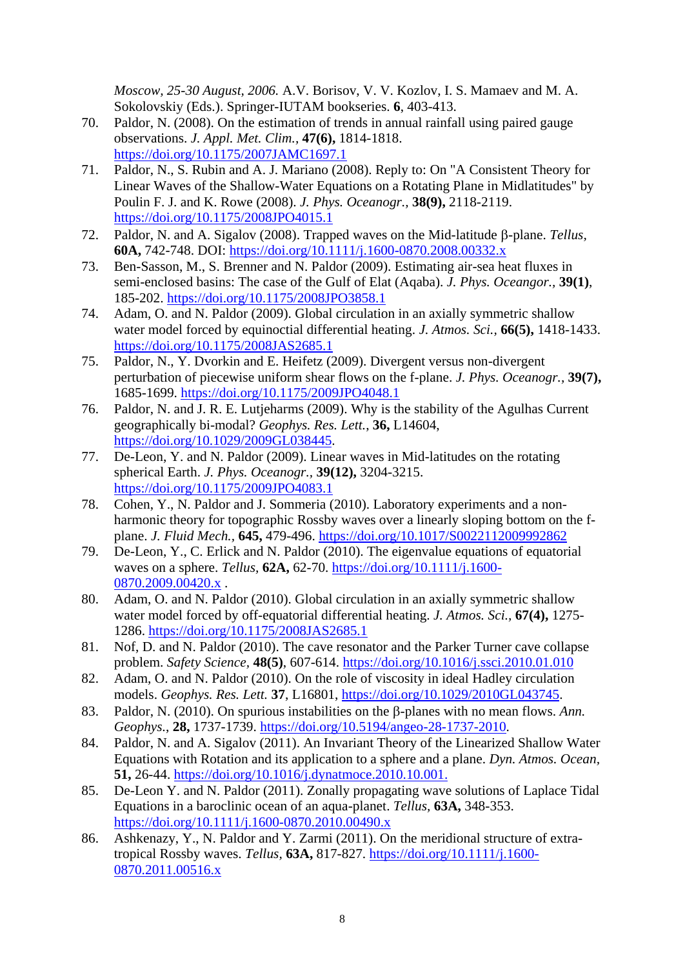*Moscow, 25-30 August, 2006.* A.V. Borisov, V. V. Kozlov, I. S. Mamaev and M. A. Sokolovskiy (Eds.). Springer-IUTAM bookseries. **6**, 403-413.

- 70. Paldor, N. (2008). On the estimation of trends in annual rainfall using paired gauge observations. *J. Appl. Met. Clim.,* **47(6),** 1814-1818. <https://doi.org/10.1175/2007JAMC1697.1>
- 71. Paldor, N., S. Rubin and A. J. Mariano (2008). Reply to: On "A Consistent Theory for Linear Waves of the Shallow-Water Equations on a Rotating Plane in Midlatitudes" by Poulin F. J. and K. Rowe (2008). *J. Phys. Oceanogr.,* **38(9),** 2118-2119. <https://doi.org/10.1175/2008JPO4015.1>
- 72. Paldor, N. and A. Sigalov (2008). Trapped waves on the Mid-latitude  $\beta$ -plane. *Tellus*, **60A,** 742-748. DOI:<https://doi.org/10.1111/j.1600-0870.2008.00332.x>
- 73. Ben-Sasson, M., S. Brenner and N. Paldor (2009). Estimating air-sea heat fluxes in semi-enclosed basins: The case of the Gulf of Elat (Aqaba). *J. Phys. Oceangor.,* **39(1)**, 185-202. <https://doi.org/10.1175/2008JPO3858.1>
- 74. Adam, O. and N. Paldor (2009). Global circulation in an axially symmetric shallow water model forced by equinoctial differential heating. *J. Atmos. Sci.,* **66(5),** 1418-1433. <https://doi.org/10.1175/2008JAS2685.1>
- 75. Paldor, N., Y. Dvorkin and E. Heifetz (2009). Divergent versus non-divergent perturbation of piecewise uniform shear flows on the f-plane. *J. Phys. Oceanogr.,* **39(7),** 1685-1699. <https://doi.org/10.1175/2009JPO4048.1>
- 76. Paldor, N. and J. R. E. Lutjeharms (2009). Why is the stability of the Agulhas Current geographically bi-modal? *Geophys. Res. Lett.*, **36,** L14604, https://doi.org/10.1029/2009GL038445.
- 77. De-Leon, Y. and N. Paldor (2009). Linear waves in Mid-latitudes on the rotating spherical Earth. *J. Phys. Oceanogr.,* **39(12),** 3204-3215. https://doi.org/10.1175/2009JPO4083.1
- 78. Cohen, Y., N. Paldor and J. Sommeria (2010). Laboratory experiments and a nonharmonic theory for topographic Rossby waves over a linearly sloping bottom on the fplane. *J. Fluid Mech.,* **645,** 479-496. <https://doi.org/10.1017/S0022112009992862>
- 79. De-Leon, Y., C. Erlick and N. Paldor (2010). The eigenvalue equations of equatorial waves on a sphere. *Tellus,* **62A,** 62-70. [https://doi.org/10.1111/j.1600-](https://doi.org/10.1111/j.1600-0870.2009.00420.x) [0870.2009.00420.x](https://doi.org/10.1111/j.1600-0870.2009.00420.x) .
- 80. Adam, O. and N. Paldor (2010). Global circulation in an axially symmetric shallow water model forced by off-equatorial differential heating. *J. Atmos. Sci.,* **67(4),** 1275- 1286. <https://doi.org/10.1175/2008JAS2685.1>
- 81. Nof, D. and N. Paldor (2010). The cave resonator and the Parker Turner cave collapse problem. *Safety Science,* **48(5)**, 607-614. <https://doi.org/10.1016/j.ssci.2010.01.010>
- 82. Adam, O. and N. Paldor (2010). On the role of viscosity in ideal Hadley circulation models. *Geophys. Res. Lett.* **37**, L16801, [https://doi.org/10.1029/2010GL043745.](https://doi.org/10.1029/2010GL043745)
- 83. Paldor, N. (2010). On spurious instabilities on the B-planes with no mean flows. Ann. *Geophys.*, **28,** 1737-1739. [https://doi.org/10.5194/angeo-28-1737-2010.](https://doi.org/10.5194/angeo-28-1737-2010)
- 84. Paldor, N. and A. Sigalov (2011). An Invariant Theory of the Linearized Shallow Water Equations with Rotation and its application to a sphere and a plane. *Dyn. Atmos. Ocean,* **51,** 26-44. [https://doi.org/10.1016/j.dynatmoce.2010.10.001.](https://doi.org/10.1016/j.dynatmoce.2010.10.001)
- 85. De-Leon Y. and N. Paldor (2011). Zonally propagating wave solutions of Laplace Tidal Equations in a baroclinic ocean of an aqua-planet. *Tellus,* **63A,** 348-353. https://doi.org/10.1111/j.1600-0870.2010.00490.x
- 86. Ashkenazy, Y., N. Paldor and Y. Zarmi (2011). On the meridional structure of extratropical Rossby waves. *Tellus,* **63A,** 817-827. https://doi.org/10.1111/j.1600- 0870.2011.00516.x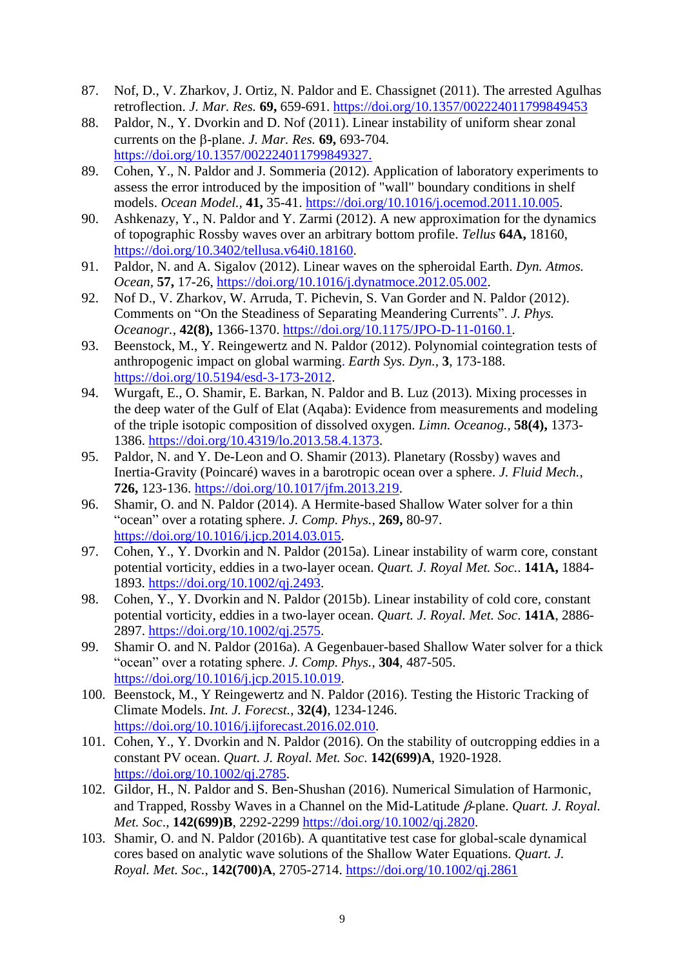- 87. Nof, D., V. Zharkov, J. Ortiz, N. Paldor and E. Chassignet (2011). [The arrested Agulhas](http://earth.huji.ac.il/data/file/nathan/ArrestedAgulhasretro2011.pdf)  [retroflection.](http://earth.huji.ac.il/data/file/nathan/ArrestedAgulhasretro2011.pdf) *J. Mar. Res.* **69,** 659-691.<https://doi.org/10.1357/002224011799849453>
- 88. Paldor, N., Y. Dvorkin and D. Nof (2011). Linear instability of uniform shear zonal currents on the  $\beta$ -plane. *J. Mar. Res.* **69,** 693-704. [https://doi.org/10.1357/002224011799849327.](https://doi.org/10.1357/002224011799849327)
- 89. Cohen, Y., N. Paldor and J. Sommeria (2012). Application of laboratory experiments to assess the error introduced by the imposition of "wall" boundary conditions in shelf models. *Ocean Model.,* **41,** 35-41. [https://doi.org/10.1016/j.ocemod.2011.10.005.](https://doi.org/10.1016/j.ocemod.2011.10.005)
- 90. Ashkenazy, Y., N. Paldor and Y. Zarmi (2012). A new approximation for the dynamics of topographic Rossby waves over an arbitrary bottom profile. *Tellus* **64A,** 18160, [https://doi.org/10.3402/tellusa.v64i0.18160.](https://doi.org/10.3402/tellusa.v64i0.18160)
- 91. Paldor, N. and A. Sigalov (2012). Linear waves on the spheroidal Earth. *Dyn. Atmos. Ocean,* **57,** 17-26, [https://doi.org/10.1016/j.dynatmoce.2012.05.002.](https://doi.org/10.1016/j.dynatmoce.2012.05.002)
- 92. Nof D., V. Zharkov, W. Arruda, T. Pichevin, S. Van Gorder and N. Paldor (2012). Comments on "On the Steadiness of Separating Meandering Currents". *J. Phys. Oceanogr.,* **42(8),** 1366-1370. https://doi.org[/10.1175/JPO-D-11-0160.1.](http://dx.doi.org/10.1175/JPO-D-11-0160.1)
- 93. Beenstock, M., Y. Reingewertz and N. Paldor (2012). [Polynomial cointegration tests of](http://earth.huji.ac.il/data/agw_co-integration_tests.pdf)  [anthropogenic impact on global warming.](http://earth.huji.ac.il/data/agw_co-integration_tests.pdf) *Earth Sys. Dyn.,* **3**, 173-188. [https://doi.org/10.5194/esd-3-173-2012.](https://doi.org/10.5194/esd-3-173-2012)
- 94. Wurgaft, E., O. Shamir, E. Barkan, N. Paldor and B. Luz (2013). Mixing processes in the deep water of the Gulf of Elat (Aqaba): Evidence from measurements and modeling of the triple isotopic composition of dissolved oxygen. *Limn. Oceanog.,* **58(4),** 1373- 1386. [https://doi.org/10.4319/lo.2013.58.4.1373.](https://doi.org/10.4319/lo.2013.58.4.1373)
- 95. Paldor, N. and Y. De-Leon and O. Shamir (2013). Planetary (Rossby) waves and Inertia-Gravity (Poincaré) waves in a barotropic ocean over a sphere. *J. Fluid Mech.,* **726,** 123-136. [https://doi.org/10.1017/jfm.2013.219.](https://doi.org/10.1017/jfm.2013.219)
- 96. Shamir, O. and N. Paldor (2014). A Hermite-based Shallow Water solver for a thin "ocean" over a rotating sphere. *J. Comp. Phys.,* **269,** 80-97. [https://doi.org/10.1016/j.jcp.2014.03.015.](https://doi.org/10.1016/j.jcp.2014.03.015)
- 97. Cohen, Y., Y. Dvorkin and N. Paldor (2015a). Linear instability of warm core, constant potential vorticity, eddies in a two-layer ocean. *Quart. J. Royal Met. Soc.*. **141A,** 1884- 1893. [https://doi.org/10.1002/qj.2493.](https://doi.org/10.1002/qj.2493)
- 98. Cohen, Y., Y. Dvorkin and N. Paldor (2015b). Linear instability of cold core, constant potential vorticity, eddies in a two-layer ocean. *Quart. J. Royal. Met. Soc*. **141A**, 2886- 2897. [https://doi.org/10.1002/qj.2575.](https://doi.org/10.1002/qj.2575)
- 99. Shamir O. and N. Paldor (2016a). A Gegenbauer-based Shallow Water solver for a thick "ocean" over a rotating sphere. *J. Comp. Phys.*, **304**, 487-505. [https://doi.org/10.1016/j.jcp.2015.10.019.](https://doi.org/10.1016/j.jcp.2015.10.019)
- 100. Beenstock, M., Y Reingewertz and N. Paldor (2016). Testing the Historic Tracking of Climate Models. *Int. J. Forecst.*, **32(4)**, 1234-1246. [https://doi.org/10.1016/j.ijforecast.2016.02.010.](https://doi.org/10.1016/j.ijforecast.2016.02.010)
- 101. Cohen, Y., Y. Dvorkin and N. Paldor (2016). On the stability of outcropping eddies in a constant PV ocean. *Quart. J. Royal. Met. Soc*. **142(699)A**, 1920-1928. [https://doi.org/10.1002/qj.2785.](https://doi.org/10.1002/qj.2785)
- 102. Gildor, H., N. Paldor and S. Ben-Shushan (2016). Numerical Simulation of Harmonic, and Trapped, Rossby Waves in a Channel on the Mid-Latitude  $\beta$ -plane. *Quart. J. Royal. Met. Soc*., **142(699)B**, 2292-2299 [https://doi.org/10.1002/qj.2820.](https://doi.org/10.1002/qj.2820)
- 103. Shamir, O. and N. Paldor (2016b). A quantitative test case for global-scale dynamical cores based on analytic wave solutions of the Shallow Water Equations. *Quart. J. Royal. Met. Soc.*, **142(700)A**, 2705-2714.<https://doi.org/10.1002/qj.2861>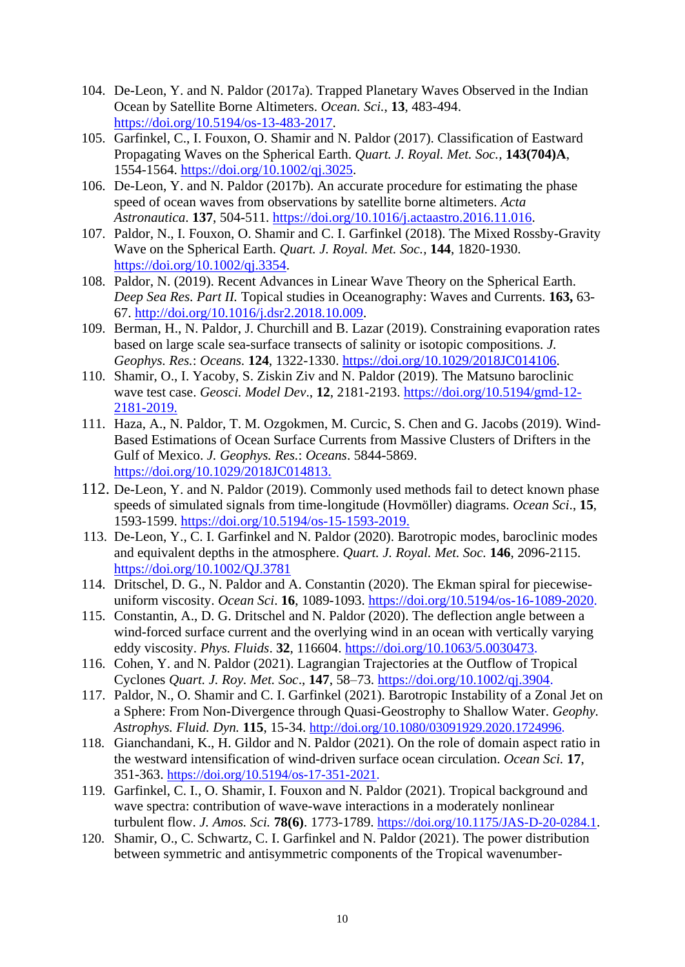- 104. De-Leon, Y. and N. Paldor (2017a). Trapped Planetary Waves Observed in the Indian Ocean by Satellite Borne Altimeters. *Ocean. Sci.*, **13**, 483-494. [https://doi.org/10.5194/os-13-483-2017.](https://doi.org/10.5194/os-13-483-2017)
- 105. Garfinkel, C., I. Fouxon, O. Shamir and N. Paldor (2017). Classification of Eastward Propagating Waves on the Spherical Earth. *Quart. J. Royal. Met. Soc.,* **143(704)A**, 1554-1564. [https://doi.org/10.1002/qj.3025.](https://doi.org/10.1002/qj.3025)
- 106. De-Leon, Y. and N. Paldor (2017b). An accurate procedure for estimating the phase speed of ocean waves from observations by satellite borne altimeters. *Acta Astronautica*. **137**, 504-511. [https://doi.org/10.1016/j.actaastro.2016.11.016.](https://doi.org/10.1016/j.actaastro.2016.11.016)
- 107. Paldor, N., I. Fouxon, O. Shamir and C. I. Garfinkel (2018). The Mixed Rossby-Gravity Wave on the Spherical Earth. *Quart. J. Royal. Met. Soc.,* **144**, 1820-1930. [https://doi.org/10.1002/qj.3354.](https://doi.org/10.1002/qj.3354)
- 108. Paldor, N. (2019). Recent Advances in Linear Wave Theory on the Spherical Earth. *Deep Sea Res. Part II.* Topical studies in Oceanography: Waves and Currents. **163,** 63- 67. [http://doi.org/10.1016/j.dsr2.2018.10.009.](http://doi.org/10.1016/j.dsr2.2018.10.009)
- 109. Berman, H., N. Paldor, J. Churchill and B. Lazar (2019). Constraining evaporation rates based on large scale sea-surface transects of salinity or isotopic compositions. *J. Geophys. Res.*: *Oceans.* **124**, 1322-1330. https://doi.org/10.1029/2018JC014106.
- 110. Shamir, O., I. Yacoby, S. Ziskin Ziv and N. Paldor (2019). The Matsuno baroclinic wave test case. *Geosci. Model Dev*., **12**, 2181-2193. https://doi.org/10.5194/gmd-12- 2181-2019.
- 111. Haza, A., N. Paldor, T. M. Ozgokmen, M. Curcic, S. Chen and G. Jacobs (2019). Wind-Based Estimations of Ocean Surface Currents from Massive Clusters of Drifters in the Gulf of Mexico. *J. Geophys. Res.*: *Oceans*. 5844-5869. [https://doi.org/10.1029/2018JC014813.](https://doi.org/10.1029/2018JC014813)
- 112. De-Leon, Y. and N. Paldor (2019). Commonly used methods fail to detect known phase speeds of simulated signals from time-longitude (Hovmöller) diagrams. *Ocean Sci*., **15**, 1593-1599. [https://doi.org/10.5194/os-15-1593-2019.](https://doi.org/10.5194/os-15-1593-2019)
- 113. De-Leon, Y., C. I. Garfinkel and N. Paldor (2020). Barotropic modes, baroclinic modes and equivalent depths in the atmosphere. *Quart. J. Royal. Met. Soc.* **146**, 2096-2115. https://doi.org/10.1002/QJ.3781
- 114. Dritschel, D. G., N. Paldor and A. Constantin (2020). The Ekman spiral for piecewiseuniform viscosity. *Ocean Sci*. **16**, 1089-1093. [https://doi.org/10.5194/os-16-1089-2020.](https://doi.org/10.5194/os-16-1089-2020)
- 115. Constantin, A., D. G. Dritschel and N. Paldor (2020). The deflection angle between a wind-forced surface current and the overlying wind in an ocean with vertically varying eddy viscosity. *Phys. Fluids*. **32**, 116604. [https://doi.org/10.1063/5.0030473.](https://doi.org/10.1063/5.0030473)
- 116. Cohen, Y. and N. Paldor (2021). Lagrangian Trajectories at the Outflow of Tropical Cyclones *Quart. J. Roy. Met. Soc*., **147**, 58–73. [https://doi.org/10.1002/qj.3904.](https://doi.org/10.1002/qj.3904)
- 117. Paldor, N., O. Shamir and C. I. Garfinkel (2021). Barotropic Instability of a Zonal Jet on a Sphere: From Non-Divergence through Quasi-Geostrophy to Shallow Water. *Geophy. Astrophys. Fluid. Dyn.* **115**, 15-34. [http://doi.org/10.1080/03091929.2020.1724996.](http://doi.org/10.1080/03091929.2020.1724996)
- 118. Gianchandani, K., H. Gildor and N. Paldor (2021). On the role of domain aspect ratio in the westward intensification of wind-driven surface ocean circulation. *Ocean Sci.* **17**, 351-363. [https://doi.org/10.5194/os-17-351-2021.](https://doi.org/10.5194/os-17-351-2021)
- 119. Garfinkel, C. I., O. Shamir, I. Fouxon and N. Paldor (2021). Tropical background and wave spectra: contribution of wave-wave interactions in a moderately nonlinear turbulent flow. *J. Amos. Sci.* **78(6)**. 1773-1789. https://doi.org/10.1175/JAS-D-20-0284.1.
- 120. Shamir, O., C. Schwartz, C. I. Garfinkel and N. Paldor (2021). The power distribution between symmetric and antisymmetric components of the Tropical wavenumber-